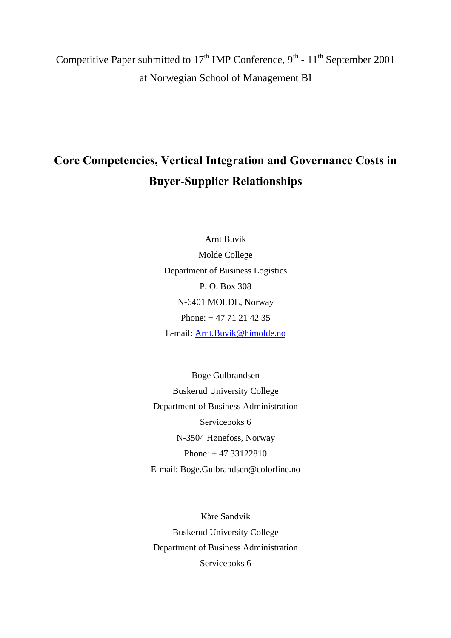Competitive Paper submitted to  $17<sup>th</sup>$  IMP Conference,  $9<sup>th</sup>$  -  $11<sup>th</sup>$  September 2001 at Norwegian School of Management BI

# **Core Competencies, Vertical Integration and Governance Costs in Buyer-Supplier Relationships**

Arnt Buvik Molde College Department of Business Logistics P. O. Box 308 N-6401 MOLDE, Norway Phone: + 47 71 21 42 35 E-mail: Arnt.Buvik@himolde.no

Boge Gulbrandsen Buskerud University College Department of Business Administration Serviceboks 6 N-3504 Hønefoss, Norway Phone: + 47 33122810 E-mail: Boge.Gulbrandsen@colorline.no

Kåre Sandvik Buskerud University College Department of Business Administration Serviceboks 6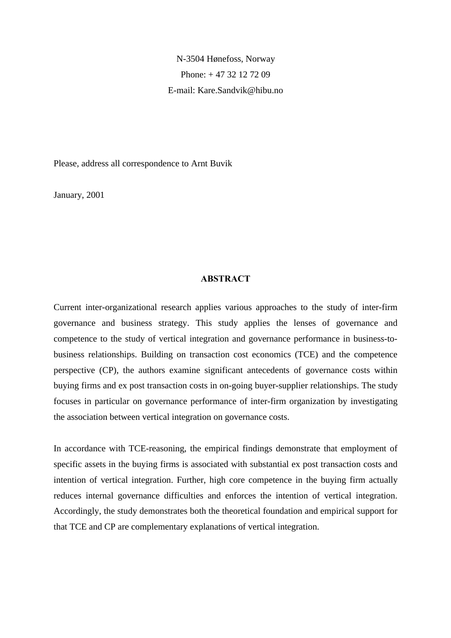N-3504 Hønefoss, Norway Phone: + 47 32 12 72 09 E-mail: Kare.Sandvik@hibu.no

Please, address all correspondence to Arnt Buvik

January, 2001

#### **ABSTRACT**

Current inter-organizational research applies various approaches to the study of inter-firm governance and business strategy. This study applies the lenses of governance and competence to the study of vertical integration and governance performance in business-tobusiness relationships. Building on transaction cost economics (TCE) and the competence perspective (CP), the authors examine significant antecedents of governance costs within buying firms and ex post transaction costs in on-going buyer-supplier relationships. The study focuses in particular on governance performance of inter-firm organization by investigating the association between vertical integration on governance costs.

In accordance with TCE-reasoning, the empirical findings demonstrate that employment of specific assets in the buying firms is associated with substantial ex post transaction costs and intention of vertical integration. Further, high core competence in the buying firm actually reduces internal governance difficulties and enforces the intention of vertical integration. Accordingly, the study demonstrates both the theoretical foundation and empirical support for that TCE and CP are complementary explanations of vertical integration.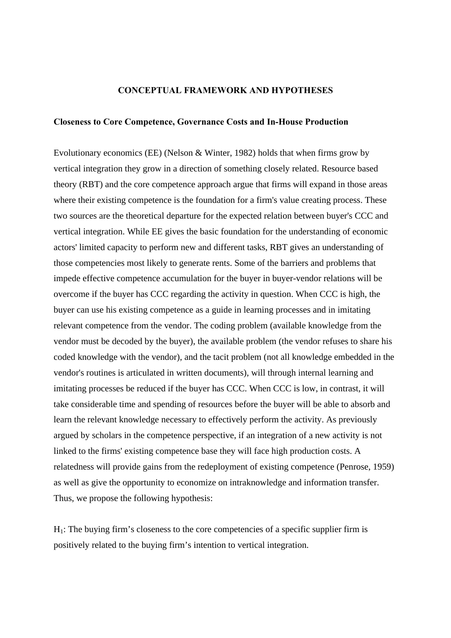#### **CONCEPTUAL FRAMEWORK AND HYPOTHESES**

### **Closeness to Core Competence, Governance Costs and In-House Production**

Evolutionary economics (EE) (Nelson & Winter, 1982) holds that when firms grow by vertical integration they grow in a direction of something closely related. Resource based theory (RBT) and the core competence approach argue that firms will expand in those areas where their existing competence is the foundation for a firm's value creating process. These two sources are the theoretical departure for the expected relation between buyer's CCC and vertical integration. While EE gives the basic foundation for the understanding of economic actors' limited capacity to perform new and different tasks, RBT gives an understanding of those competencies most likely to generate rents. Some of the barriers and problems that impede effective competence accumulation for the buyer in buyer-vendor relations will be overcome if the buyer has CCC regarding the activity in question. When CCC is high, the buyer can use his existing competence as a guide in learning processes and in imitating relevant competence from the vendor. The coding problem (available knowledge from the vendor must be decoded by the buyer), the available problem (the vendor refuses to share his coded knowledge with the vendor), and the tacit problem (not all knowledge embedded in the vendor's routines is articulated in written documents), will through internal learning and imitating processes be reduced if the buyer has CCC. When CCC is low, in contrast, it will take considerable time and spending of resources before the buyer will be able to absorb and learn the relevant knowledge necessary to effectively perform the activity. As previously argued by scholars in the competence perspective, if an integration of a new activity is not linked to the firms' existing competence base they will face high production costs. A relatedness will provide gains from the redeployment of existing competence (Penrose, 1959) as well as give the opportunity to economize on intraknowledge and information transfer. Thus, we propose the following hypothesis:

 $H<sub>1</sub>$ : The buying firm's closeness to the core competencies of a specific supplier firm is positively related to the buying firm's intention to vertical integration.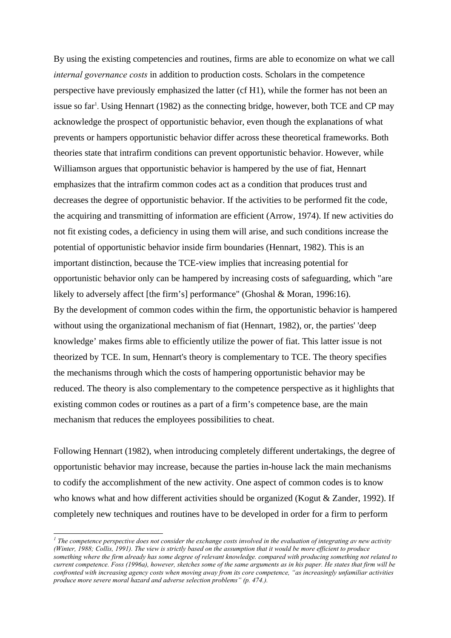By using the existing competencies and routines, firms are able to economize on what we call *internal governance costs* in addition to production costs. Scholars in the competence perspective have previously emphasized the latter (cf H1), while the former has not been an issue so far<sup>1</sup>. Using Hennart (1982) as the connecting bridge, however, both TCE and CP may acknowledge the prospect of opportunistic behavior, even though the explanations of what prevents or hampers opportunistic behavior differ across these theoretical frameworks. Both theories state that intrafirm conditions can prevent opportunistic behavior. However, while Williamson argues that opportunistic behavior is hampered by the use of fiat, Hennart emphasizes that the intrafirm common codes act as a condition that produces trust and decreases the degree of opportunistic behavior. If the activities to be performed fit the code, the acquiring and transmitting of information are efficient (Arrow, 1974). If new activities do not fit existing codes, a deficiency in using them will arise, and such conditions increase the potential of opportunistic behavior inside firm boundaries (Hennart, 1982). This is an important distinction, because the TCE-view implies that increasing potential for opportunistic behavior only can be hampered by increasing costs of safeguarding, which "are likely to adversely affect [the firm's] performance" (Ghoshal & Moran, 1996:16). By the development of common codes within the firm, the opportunistic behavior is hampered without using the organizational mechanism of fiat (Hennart, 1982), or, the parties' 'deep knowledge' makes firms able to efficiently utilize the power of fiat. This latter issue is not theorized by TCE. In sum, Hennart's theory is complementary to TCE. The theory specifies the mechanisms through which the costs of hampering opportunistic behavior may be reduced. The theory is also complementary to the competence perspective as it highlights that existing common codes or routines as a part of a firm's competence base, are the main mechanism that reduces the employees possibilities to cheat.

Following Hennart (1982), when introducing completely different undertakings, the degree of opportunistic behavior may increase, because the parties in-house lack the main mechanisms to codify the accomplishment of the new activity. One aspect of common codes is to know who knows what and how different activities should be organized (Kogut & Zander, 1992). If completely new techniques and routines have to be developed in order for a firm to perform

l

<sup>&</sup>lt;sup>*1</sup>* The competence perspective does not consider the exchange costs involved in the evaluation of integrating av new activity</sup> *(Winter, 1988; Collis, 1991). The view is strictly based on the assumption that it would be more efficient to produce something where the firm already has some degree of relevant knowledge. compared with producing something not related to current competence. Foss (1996a), however, sketches some of the same arguments as in his paper. He states that firm will be confronted with increasing agency costs when moving away from its core competence, "as increasingly unfamiliar activities produce more severe moral hazard and adverse selection problems" (p. 474.).*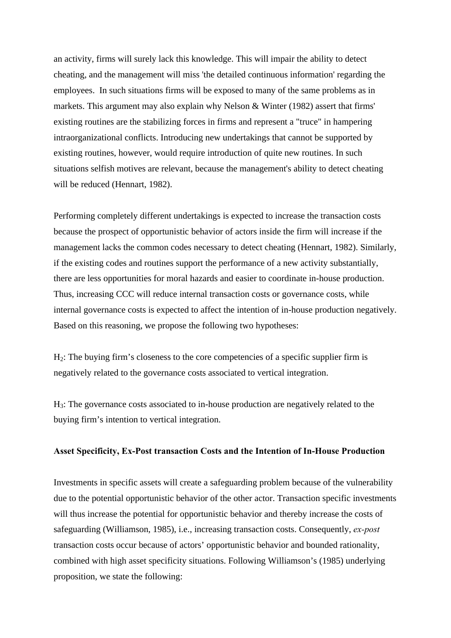an activity, firms will surely lack this knowledge. This will impair the ability to detect cheating, and the management will miss 'the detailed continuous information' regarding the employees. In such situations firms will be exposed to many of the same problems as in markets. This argument may also explain why Nelson & Winter (1982) assert that firms' existing routines are the stabilizing forces in firms and represent a "truce" in hampering intraorganizational conflicts. Introducing new undertakings that cannot be supported by existing routines, however, would require introduction of quite new routines. In such situations selfish motives are relevant, because the management's ability to detect cheating will be reduced (Hennart, 1982).

Performing completely different undertakings is expected to increase the transaction costs because the prospect of opportunistic behavior of actors inside the firm will increase if the management lacks the common codes necessary to detect cheating (Hennart, 1982). Similarly, if the existing codes and routines support the performance of a new activity substantially, there are less opportunities for moral hazards and easier to coordinate in-house production. Thus, increasing CCC will reduce internal transaction costs or governance costs, while internal governance costs is expected to affect the intention of in-house production negatively. Based on this reasoning, we propose the following two hypotheses:

H2: The buying firm's closeness to the core competencies of a specific supplier firm is negatively related to the governance costs associated to vertical integration.

H3: The governance costs associated to in-house production are negatively related to the buying firm's intention to vertical integration.

## **Asset Specificity, Ex-Post transaction Costs and the Intention of In-House Production**

Investments in specific assets will create a safeguarding problem because of the vulnerability due to the potential opportunistic behavior of the other actor. Transaction specific investments will thus increase the potential for opportunistic behavior and thereby increase the costs of safeguarding (Williamson, 1985), i.e., increasing transaction costs. Consequently, *ex-post* transaction costs occur because of actors' opportunistic behavior and bounded rationality, combined with high asset specificity situations. Following Williamson's (1985) underlying proposition, we state the following: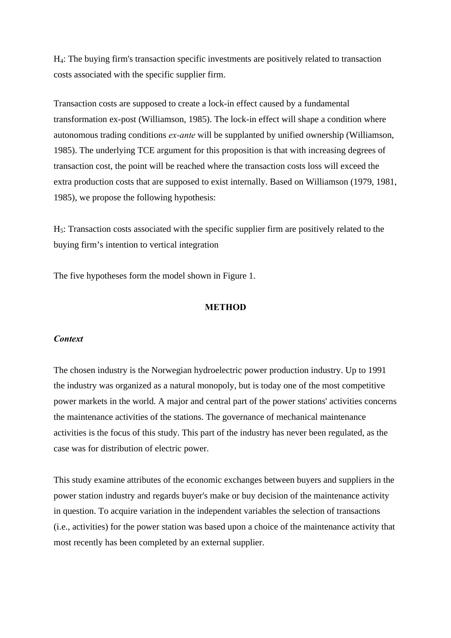H4: The buying firm's transaction specific investments are positively related to transaction costs associated with the specific supplier firm.

Transaction costs are supposed to create a lock-in effect caused by a fundamental transformation ex-post (Williamson, 1985). The lock-in effect will shape a condition where autonomous trading conditions *ex-ante* will be supplanted by unified ownership (Williamson, 1985). The underlying TCE argument for this proposition is that with increasing degrees of transaction cost, the point will be reached where the transaction costs loss will exceed the extra production costs that are supposed to exist internally. Based on Williamson (1979, 1981, 1985), we propose the following hypothesis:

H5: Transaction costs associated with the specific supplier firm are positively related to the buying firm's intention to vertical integration

The five hypotheses form the model shown in Figure 1.

#### **METHOD**

#### *Context*

The chosen industry is the Norwegian hydroelectric power production industry. Up to 1991 the industry was organized as a natural monopoly, but is today one of the most competitive power markets in the world. A major and central part of the power stations' activities concerns the maintenance activities of the stations. The governance of mechanical maintenance activities is the focus of this study. This part of the industry has never been regulated, as the case was for distribution of electric power.

This study examine attributes of the economic exchanges between buyers and suppliers in the power station industry and regards buyer's make or buy decision of the maintenance activity in question. To acquire variation in the independent variables the selection of transactions (i.e., activities) for the power station was based upon a choice of the maintenance activity that most recently has been completed by an external supplier.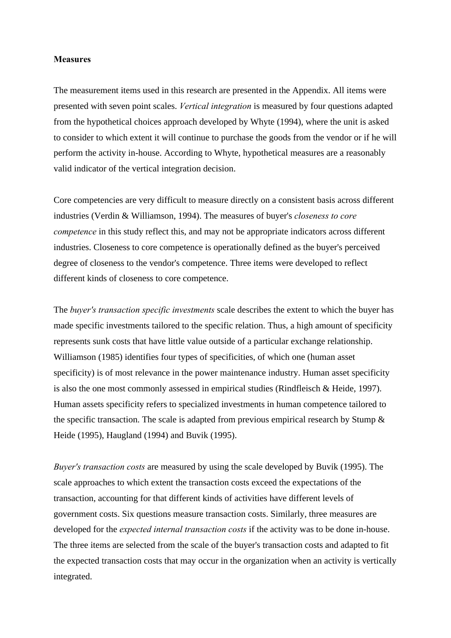#### **Measures**

The measurement items used in this research are presented in the Appendix. All items were presented with seven point scales. *Vertical integration* is measured by four questions adapted from the hypothetical choices approach developed by Whyte (1994), where the unit is asked to consider to which extent it will continue to purchase the goods from the vendor or if he will perform the activity in-house. According to Whyte, hypothetical measures are a reasonably valid indicator of the vertical integration decision.

Core competencies are very difficult to measure directly on a consistent basis across different industries (Verdin & Williamson, 1994). The measures of buyer's *closeness to core competence* in this study reflect this, and may not be appropriate indicators across different industries. Closeness to core competence is operationally defined as the buyer's perceived degree of closeness to the vendor's competence. Three items were developed to reflect different kinds of closeness to core competence.

The *buyer's transaction specific investments* scale describes the extent to which the buyer has made specific investments tailored to the specific relation. Thus, a high amount of specificity represents sunk costs that have little value outside of a particular exchange relationship. Williamson (1985) identifies four types of specificities, of which one (human asset specificity) is of most relevance in the power maintenance industry. Human asset specificity is also the one most commonly assessed in empirical studies (Rindfleisch & Heide, 1997). Human assets specificity refers to specialized investments in human competence tailored to the specific transaction. The scale is adapted from previous empirical research by Stump & Heide (1995), Haugland (1994) and Buvik (1995).

*Buyer's transaction costs* are measured by using the scale developed by Buvik (1995). The scale approaches to which extent the transaction costs exceed the expectations of the transaction, accounting for that different kinds of activities have different levels of government costs. Six questions measure transaction costs. Similarly, three measures are developed for the *expected internal transaction costs* if the activity was to be done in-house. The three items are selected from the scale of the buyer's transaction costs and adapted to fit the expected transaction costs that may occur in the organization when an activity is vertically integrated.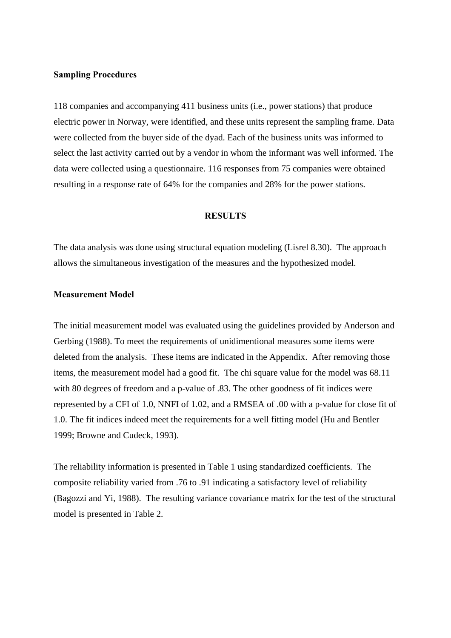#### **Sampling Procedures**

118 companies and accompanying 411 business units (i.e., power stations) that produce electric power in Norway, were identified, and these units represent the sampling frame. Data were collected from the buyer side of the dyad. Each of the business units was informed to select the last activity carried out by a vendor in whom the informant was well informed. The data were collected using a questionnaire. 116 responses from 75 companies were obtained resulting in a response rate of 64% for the companies and 28% for the power stations.

#### **RESULTS**

The data analysis was done using structural equation modeling (Lisrel 8.30). The approach allows the simultaneous investigation of the measures and the hypothesized model.

### **Measurement Model**

The initial measurement model was evaluated using the guidelines provided by Anderson and Gerbing (1988). To meet the requirements of unidimentional measures some items were deleted from the analysis. These items are indicated in the Appendix. After removing those items, the measurement model had a good fit. The chi square value for the model was 68.11 with 80 degrees of freedom and a p-value of .83. The other goodness of fit indices were represented by a CFI of 1.0, NNFI of 1.02, and a RMSEA of .00 with a p-value for close fit of 1.0. The fit indices indeed meet the requirements for a well fitting model (Hu and Bentler 1999; Browne and Cudeck, 1993).

The reliability information is presented in Table 1 using standardized coefficients. The composite reliability varied from .76 to .91 indicating a satisfactory level of reliability (Bagozzi and Yi, 1988). The resulting variance covariance matrix for the test of the structural model is presented in Table 2.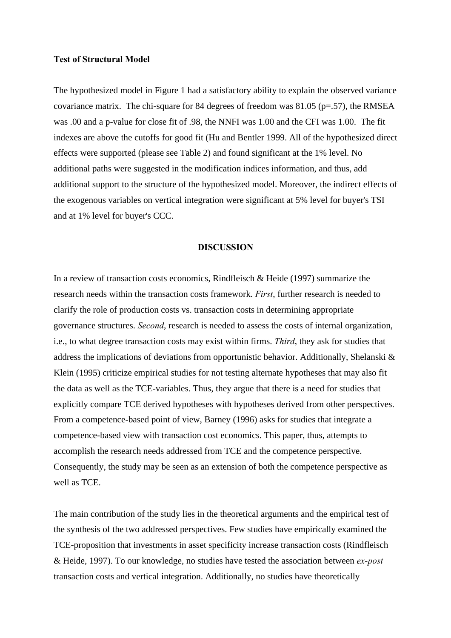### **Test of Structural Model**

The hypothesized model in Figure 1 had a satisfactory ability to explain the observed variance covariance matrix. The chi-square for 84 degrees of freedom was  $81.05$  (p=.57), the RMSEA was .00 and a p-value for close fit of .98, the NNFI was 1.00 and the CFI was 1.00. The fit indexes are above the cutoffs for good fit (Hu and Bentler 1999. All of the hypothesized direct effects were supported (please see Table 2) and found significant at the 1% level. No additional paths were suggested in the modification indices information, and thus, add additional support to the structure of the hypothesized model. Moreover, the indirect effects of the exogenous variables on vertical integration were significant at 5% level for buyer's TSI and at 1% level for buyer's CCC.

#### **DISCUSSION**

In a review of transaction costs economics, Rindfleisch & Heide (1997) summarize the research needs within the transaction costs framework. *First*, further research is needed to clarify the role of production costs vs. transaction costs in determining appropriate governance structures. *Second*, research is needed to assess the costs of internal organization, i.e., to what degree transaction costs may exist within firms. *Third*, they ask for studies that address the implications of deviations from opportunistic behavior. Additionally, Shelanski & Klein (1995) criticize empirical studies for not testing alternate hypotheses that may also fit the data as well as the TCE-variables. Thus, they argue that there is a need for studies that explicitly compare TCE derived hypotheses with hypotheses derived from other perspectives. From a competence-based point of view, Barney (1996) asks for studies that integrate a competence-based view with transaction cost economics. This paper, thus, attempts to accomplish the research needs addressed from TCE and the competence perspective. Consequently, the study may be seen as an extension of both the competence perspective as well as TCE.

The main contribution of the study lies in the theoretical arguments and the empirical test of the synthesis of the two addressed perspectives. Few studies have empirically examined the TCE-proposition that investments in asset specificity increase transaction costs (Rindfleisch & Heide, 1997). To our knowledge, no studies have tested the association between *ex-post* transaction costs and vertical integration. Additionally, no studies have theoretically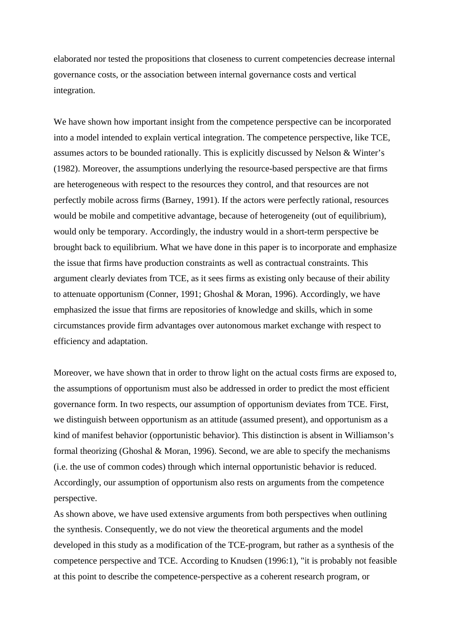elaborated nor tested the propositions that closeness to current competencies decrease internal governance costs, or the association between internal governance costs and vertical integration.

We have shown how important insight from the competence perspective can be incorporated into a model intended to explain vertical integration. The competence perspective, like TCE, assumes actors to be bounded rationally. This is explicitly discussed by Nelson & Winter's (1982). Moreover, the assumptions underlying the resource-based perspective are that firms are heterogeneous with respect to the resources they control, and that resources are not perfectly mobile across firms (Barney, 1991). If the actors were perfectly rational, resources would be mobile and competitive advantage, because of heterogeneity (out of equilibrium), would only be temporary. Accordingly, the industry would in a short-term perspective be brought back to equilibrium. What we have done in this paper is to incorporate and emphasize the issue that firms have production constraints as well as contractual constraints. This argument clearly deviates from TCE, as it sees firms as existing only because of their ability to attenuate opportunism (Conner, 1991; Ghoshal & Moran, 1996). Accordingly, we have emphasized the issue that firms are repositories of knowledge and skills, which in some circumstances provide firm advantages over autonomous market exchange with respect to efficiency and adaptation.

Moreover, we have shown that in order to throw light on the actual costs firms are exposed to, the assumptions of opportunism must also be addressed in order to predict the most efficient governance form. In two respects, our assumption of opportunism deviates from TCE. First, we distinguish between opportunism as an attitude (assumed present), and opportunism as a kind of manifest behavior (opportunistic behavior). This distinction is absent in Williamson's formal theorizing (Ghoshal & Moran, 1996). Second, we are able to specify the mechanisms (i.e. the use of common codes) through which internal opportunistic behavior is reduced. Accordingly, our assumption of opportunism also rests on arguments from the competence perspective.

As shown above, we have used extensive arguments from both perspectives when outlining the synthesis. Consequently, we do not view the theoretical arguments and the model developed in this study as a modification of the TCE-program, but rather as a synthesis of the competence perspective and TCE. According to Knudsen (1996:1), "it is probably not feasible at this point to describe the competence-perspective as a coherent research program, or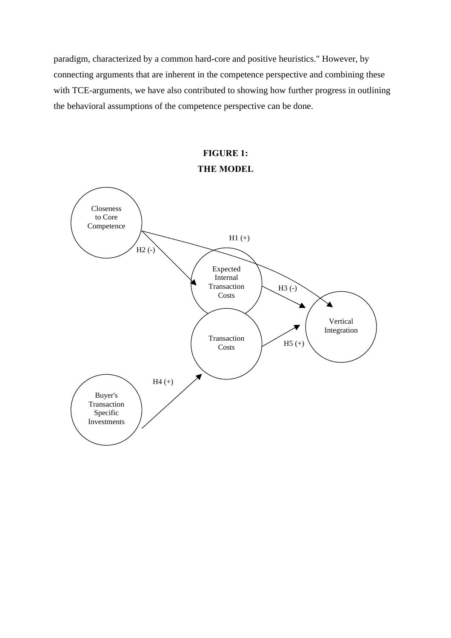paradigm, characterized by a common hard-core and positive heuristics." However, by connecting arguments that are inherent in the competence perspective and combining these with TCE-arguments, we have also contributed to showing how further progress in outlining the behavioral assumptions of the competence perspective can be done.

# **FIGURE 1: THE MODEL**

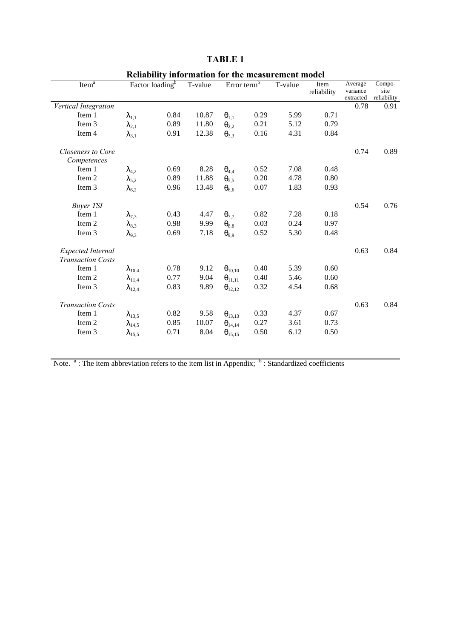|                          |                             |      |         |                         |      | Renability information for the measurement model |             |           |             |
|--------------------------|-----------------------------|------|---------|-------------------------|------|--------------------------------------------------|-------------|-----------|-------------|
| Item $a$                 | Factor loading <sup>b</sup> |      | T-value | Error term <sup>b</sup> |      | T-value                                          | Item        | Average   | Compo-      |
|                          |                             |      |         |                         |      |                                                  | reliability | variance  | site        |
|                          |                             |      |         |                         |      |                                                  |             | extracted | reliability |
| Vertical Integration     |                             |      |         |                         |      |                                                  |             | 0.78      | 0.91        |
| Item 1                   | $\lambda_{1,1}$             | 0.84 | 10.87   | $\theta_{1,1}$          | 0.29 | 5.99                                             | 0.71        |           |             |
| Item 3                   | $\lambda_{2,1}$             | 0.89 | 11.80   | $\theta_{2,2}$          | 0.21 | 5.12                                             | 0.79        |           |             |
| Item 4                   | $\lambda_{3,1}$             | 0.91 | 12.38   | $\theta_{3,3}$          | 0.16 | 4.31                                             | 0.84        |           |             |
| Closeness to Core        |                             |      |         |                         |      |                                                  |             | 0.74      | 0.89        |
| Competences              |                             |      |         |                         |      |                                                  |             |           |             |
| Item 1                   | $\lambda_{4,2}$             | 0.69 | 8.28    | $\theta_{4,4}$          | 0.52 | 7.08                                             | 0.48        |           |             |
| Item 2                   | $\lambda_{5,2}$             | 0.89 | 11.88   | $\theta_{5,5}$          | 0.20 | 4.78                                             | 0.80        |           |             |
| Item 3                   | $\lambda_{6,2}$             | 0.96 | 13.48   | $\theta_{6,6}$          | 0.07 | 1.83                                             | 0.93        |           |             |
| <b>Buyer TSI</b>         |                             |      |         |                         |      |                                                  |             | 0.54      | 0.76        |
| Item 1                   | $\lambda_{7,3}$             | 0.43 | 4.47    | $\theta_{7,7}$          | 0.82 | 7.28                                             | 0.18        |           |             |
| Item 2                   | $\lambda_{8,3}$             | 0.98 | 9.99    | $\theta_{8.8}$          | 0.03 | 0.24                                             | 0.97        |           |             |
| Item 3                   | $\lambda_{9,3}$             | 0.69 | 7.18    | $\theta_{9.9}$          | 0.52 | 5.30                                             | 0.48        |           |             |
| Expected Internal        |                             |      |         |                         |      |                                                  |             | 0.63      | 0.84        |
| <b>Transaction Costs</b> |                             |      |         |                         |      |                                                  |             |           |             |
| Item 1                   | $\lambda_{10,4}$            | 0.78 | 9.12    | $\theta_{10,10}$        | 0.40 | 5.39                                             | 0.60        |           |             |
| Item 2                   | $\lambda_{11,4}$            | 0.77 | 9.04    | $\theta_{11,11}$        | 0.40 | 5.46                                             | 0.60        |           |             |
| Item 3                   | $\lambda_{12,4}$            | 0.83 | 9.89    | $\theta_{12,12}$        | 0.32 | 4.54                                             | 0.68        |           |             |
| <b>Transaction Costs</b> |                             |      |         |                         |      |                                                  |             | 0.63      | 0.84        |
| Item 1                   | $\lambda_{13,5}$            | 0.82 | 9.58    | $\theta_{13,13}$        | 0.33 | 4.37                                             | 0.67        |           |             |
| Item 2                   | $\lambda_{14.5}$            | 0.85 | 10.07   | $\theta_{14,14}$        | 0.27 | 3.61                                             | 0.73        |           |             |
| Item 3                   | $\lambda_{15,5}$            | 0.71 | 8.04    | $\theta_{15,15}$        | 0.50 | 6.12                                             | 0.50        |           |             |
|                          |                             |      |         |                         |      |                                                  |             |           |             |

# **TABLE 1**

**Reliability information for the measurement model**

Note.  $a_i$ : The item abbreviation refers to the item list in Appendix;  $b_i$ : Standardized coefficients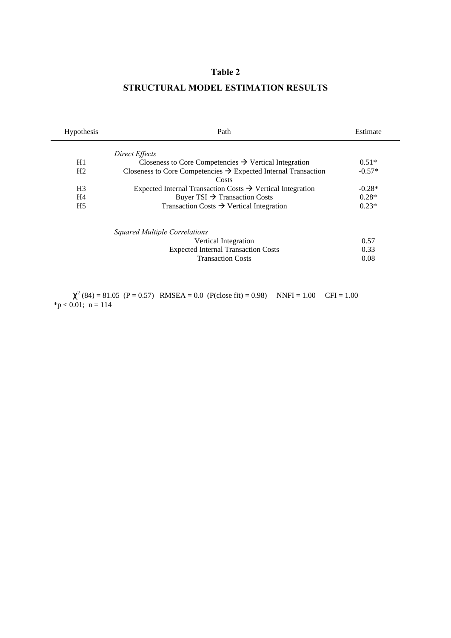# **Table 2**

# **STRUCTURAL MODEL ESTIMATION RESULTS**

| <b>Hypothesis</b> | Path                                                                                | Estimate |
|-------------------|-------------------------------------------------------------------------------------|----------|
|                   | Direct Effects                                                                      |          |
| H1                | Closeness to Core Competencies $\rightarrow$ Vertical Integration                   | $0.51*$  |
| H <sub>2</sub>    | Closeness to Core Competencies $\rightarrow$ Expected Internal Transaction<br>Costs | $-0.57*$ |
| H <sub>3</sub>    | Expected Internal Transaction Costs $\rightarrow$ Vertical Integration              | $-0.28*$ |
| H4                | Buyer TSI $\rightarrow$ Transaction Costs                                           | $0.28*$  |
| H <sub>5</sub>    | Transaction Costs $\rightarrow$ Vertical Integration                                | $0.23*$  |
|                   | Squared Multiple Correlations                                                       |          |
|                   | Vertical Integration                                                                | 0.57     |
|                   | <b>Expected Internal Transaction Costs</b>                                          | 0.33     |
|                   | <b>Transaction Costs</b>                                                            | 0.08     |

 $\chi^2$  (84) = 81.05 (P = 0.57) RMSEA = 0.0 (P(close fit) = 0.98) NNFI = 1.00 CFI = 1.00  $*p < 0.01$ ; n = 114